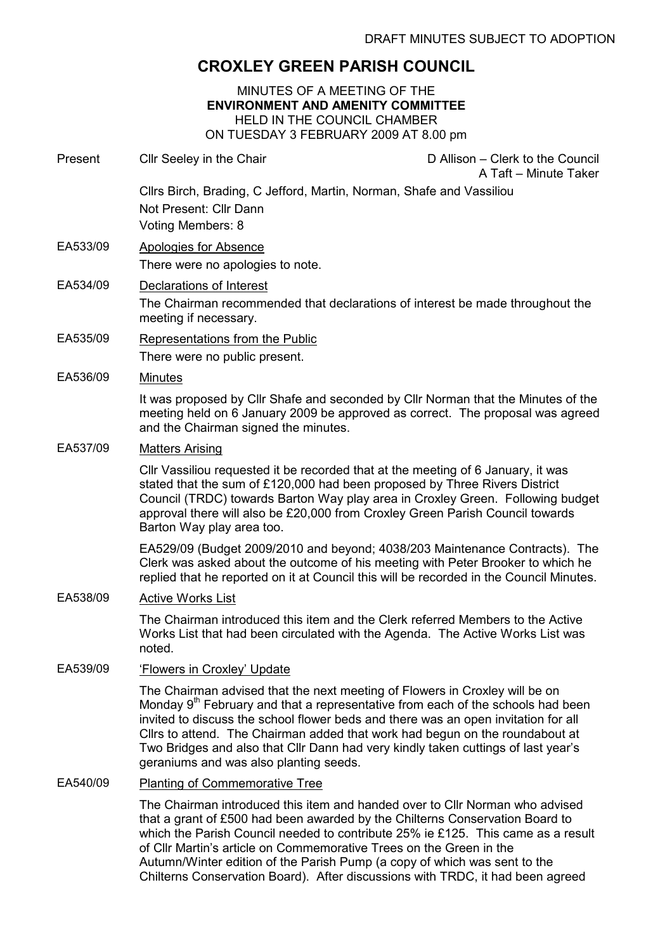# CROXLEY GREEN PARISH COUNCIL

### MINUTES OF A MEETING OF THE ENVIRONMENT AND AMENITY COMMITTEE HELD IN THE COUNCIL CHAMBER ON TUESDAY 3 FEBRUARY 2009 AT 8.00 pm

Present Cllr Seeley in the Chair Chair D Allison – Clerk to the Council A Taft – Minute Taker Cllrs Birch, Brading, C Jefford, Martin, Norman, Shafe and Vassiliou Not Present: Cllr Dann Voting Members: 8 EA533/09 Apologies for Absence There were no apologies to note. EA534/09 Declarations of Interest The Chairman recommended that declarations of interest be made throughout the meeting if necessary. EA535/09 Representations from the Public There were no public present. EA536/09 Minutes It was proposed by Cllr Shafe and seconded by Cllr Norman that the Minutes of the meeting held on 6 January 2009 be approved as correct. The proposal was agreed and the Chairman signed the minutes. EA537/09 Matters Arising Cllr Vassiliou requested it be recorded that at the meeting of 6 January, it was stated that the sum of £120,000 had been proposed by Three Rivers District Council (TRDC) towards Barton Way play area in Croxley Green. Following budget approval there will also be £20,000 from Croxley Green Parish Council towards Barton Way play area too. EA529/09 (Budget 2009/2010 and beyond; 4038/203 Maintenance Contracts). The Clerk was asked about the outcome of his meeting with Peter Brooker to which he replied that he reported on it at Council this will be recorded in the Council Minutes. EA538/09 Active Works List The Chairman introduced this item and the Clerk referred Members to the Active Works List that had been circulated with the Agenda. The Active Works List was noted. EA539/09 'Flowers in Croxley' Update The Chairman advised that the next meeting of Flowers in Croxley will be on Monday  $9<sup>th</sup>$  February and that a representative from each of the schools had been invited to discuss the school flower beds and there was an open invitation for all Cllrs to attend. The Chairman added that work had begun on the roundabout at Two Bridges and also that Cllr Dann had very kindly taken cuttings of last year's geraniums and was also planting seeds. EA540/09 Planting of Commemorative Tree The Chairman introduced this item and handed over to Cllr Norman who advised that a grant of £500 had been awarded by the Chilterns Conservation Board to which the Parish Council needed to contribute 25% ie £125. This came as a result of Cllr Martin's article on Commemorative Trees on the Green in the

Autumn/Winter edition of the Parish Pump (a copy of which was sent to the Chilterns Conservation Board). After discussions with TRDC, it had been agreed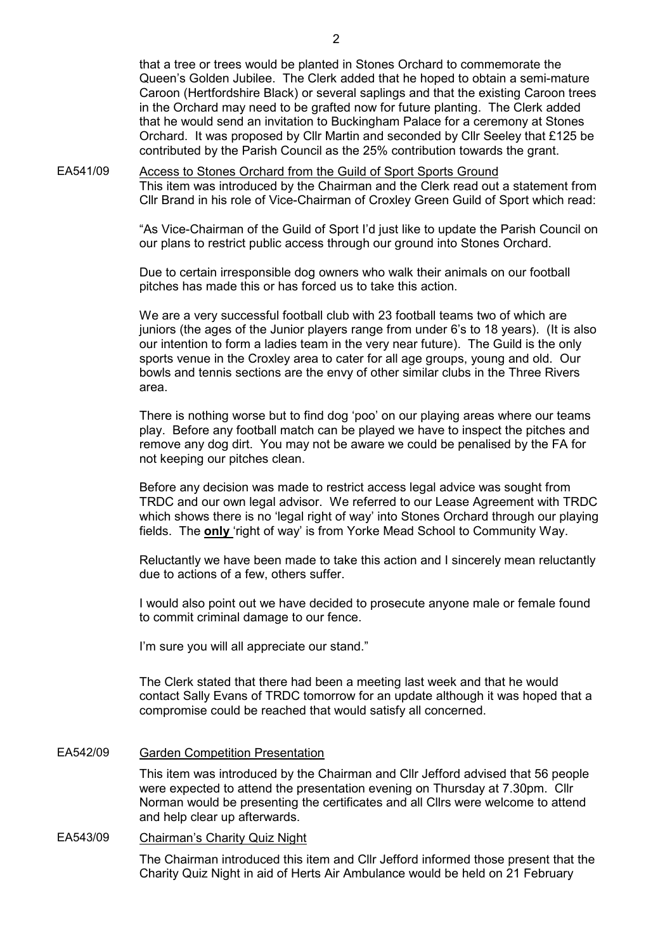that a tree or trees would be planted in Stones Orchard to commemorate the Queen's Golden Jubilee. The Clerk added that he hoped to obtain a semi-mature Caroon (Hertfordshire Black) or several saplings and that the existing Caroon trees in the Orchard may need to be grafted now for future planting. The Clerk added that he would send an invitation to Buckingham Palace for a ceremony at Stones Orchard. It was proposed by Cllr Martin and seconded by Cllr Seeley that £125 be contributed by the Parish Council as the 25% contribution towards the grant.

EA541/09 Access to Stones Orchard from the Guild of Sport Sports Ground This item was introduced by the Chairman and the Clerk read out a statement from Cllr Brand in his role of Vice-Chairman of Croxley Green Guild of Sport which read:

> "As Vice-Chairman of the Guild of Sport I'd just like to update the Parish Council on our plans to restrict public access through our ground into Stones Orchard.

Due to certain irresponsible dog owners who walk their animals on our football pitches has made this or has forced us to take this action.

We are a very successful football club with 23 football teams two of which are juniors (the ages of the Junior players range from under 6's to 18 years). (It is also our intention to form a ladies team in the very near future). The Guild is the only sports venue in the Croxley area to cater for all age groups, young and old. Our bowls and tennis sections are the envy of other similar clubs in the Three Rivers area.

There is nothing worse but to find dog 'poo' on our playing areas where our teams play. Before any football match can be played we have to inspect the pitches and remove any dog dirt. You may not be aware we could be penalised by the FA for not keeping our pitches clean.

Before any decision was made to restrict access legal advice was sought from TRDC and our own legal advisor. We referred to our Lease Agreement with TRDC which shows there is no 'legal right of way' into Stones Orchard through our playing fields. The only 'right of way' is from Yorke Mead School to Community Way.

Reluctantly we have been made to take this action and I sincerely mean reluctantly due to actions of a few, others suffer.

I would also point out we have decided to prosecute anyone male or female found to commit criminal damage to our fence.

I'm sure you will all appreciate our stand."

The Clerk stated that there had been a meeting last week and that he would contact Sally Evans of TRDC tomorrow for an update although it was hoped that a compromise could be reached that would satisfy all concerned.

### EA542/09 Garden Competition Presentation

This item was introduced by the Chairman and Cllr Jefford advised that 56 people were expected to attend the presentation evening on Thursday at 7.30pm. Cllr Norman would be presenting the certificates and all Cllrs were welcome to attend and help clear up afterwards.

## EA543/09 Chairman's Charity Quiz Night

The Chairman introduced this item and Cllr Jefford informed those present that the Charity Quiz Night in aid of Herts Air Ambulance would be held on 21 February